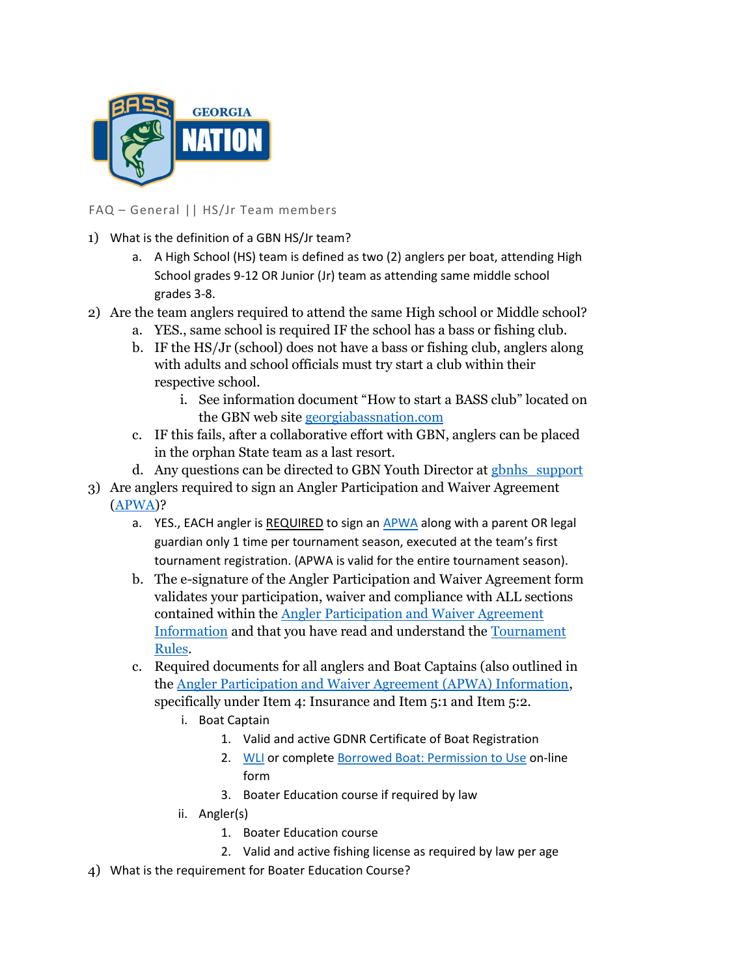

FAQ – General || HS/Jr Team members

- 1) What is the definition of a GBN HS/Jr team?
	- a. A High School (HS) team is defined as two (2) anglers per boat, attending High School grades 9-12 OR Junior (Jr) team as attending same middle school grades 3-8.
- 2) Are the team anglers required to attend the same High school or Middle school?
	- a. YES., same school is required IF the school has a bass or fishing club.
	- b. IF the HS/Jr (school) does not have a bass or fishing club, anglers along with adults and school officials must try start a club within their respective school.
		- i. See information document "How to start a BASS club" located on the GBN web site georgiabassnation.com
	- c. IF this fails, after a collaborative effort with GBN, anglers can be placed in the orphan State team as a last resort.
	- d. Any questions can be directed to GBN Youth Director at gbnhs\_support
- 3) Are anglers required to sign an Angler Participation and Waiver Agreement (APWA)?
	- a. YES., EACH angler is REQUIRED to sign an APWA along with a parent OR legal guardian only 1 time per tournament season, executed at the team's first tournament registration. (APWA is valid for the entire tournament season).
	- b. The e-signature of the Angler Participation and Waiver Agreement form validates your participation, waiver and compliance with ALL sections contained within the Angler Participation and Waiver Agreement Information and that you have read and understand the Tournament Rules.
	- c. Required documents for all anglers and Boat Captains (also outlined in the Angler Participation and Waiver Agreement (APWA) Information, specifically under Item 4: Insurance and Item 5:1 and Item 5:2.
		- i. Boat Captain
			- 1. Valid and active GDNR Certificate of Boat Registration
			- 2. WLI or complete Borrowed Boat: Permission to Use on-line form
			- 3. Boater Education course if required by law
		- ii. Angler(s)
			- 1. Boater Education course
			- 2. Valid and active fishing license as required by law per age
- 4) What is the requirement for Boater Education Course?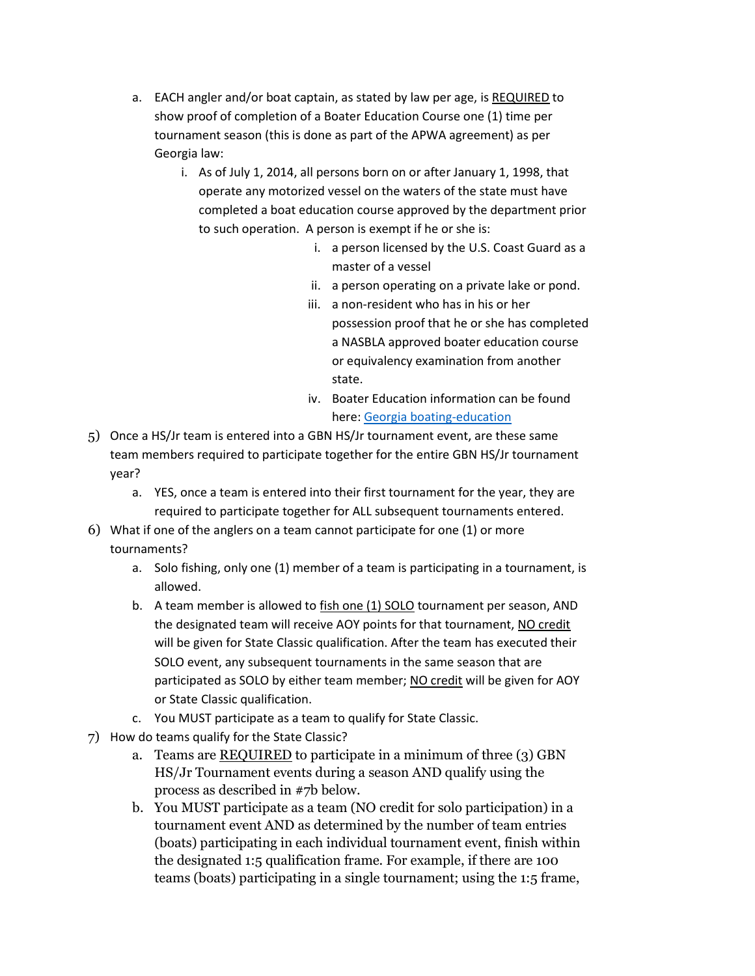- a. EACH angler and/or boat captain, as stated by law per age, is REQUIRED to show proof of completion of a Boater Education Course one (1) time per tournament season (this is done as part of the APWA agreement) as per Georgia law:
	- i. As of July 1, 2014, all persons born on or after January 1, 1998, that operate any motorized vessel on the waters of the state must have completed a boat education course approved by the department prior to such operation. A person is exempt if he or she is:
		- i. a person licensed by the U.S. Coast Guard as a master of a vessel
		- ii. a person operating on a private lake or pond.
		- iii. a non-resident who has in his or her possession proof that he or she has completed a NASBLA approved boater education course or equivalency examination from another state.
		- iv. Boater Education information can be found here: Georgia boating-education
- 5) Once a HS/Jr team is entered into a GBN HS/Jr tournament event, are these same team members required to participate together for the entire GBN HS/Jr tournament year?
	- a. YES, once a team is entered into their first tournament for the year, they are required to participate together for ALL subsequent tournaments entered.
- 6) What if one of the anglers on a team cannot participate for one (1) or more tournaments?
	- a. Solo fishing, only one (1) member of a team is participating in a tournament, is allowed.
	- b. A team member is allowed to fish one (1) SOLO tournament per season, AND the designated team will receive AOY points for that tournament, NO credit will be given for State Classic qualification. After the team has executed their SOLO event, any subsequent tournaments in the same season that are participated as SOLO by either team member; NO credit will be given for AOY or State Classic qualification.
	- c. You MUST participate as a team to qualify for State Classic.
- 7) How do teams qualify for the State Classic?
	- a. Teams are REQUIRED to participate in a minimum of three (3) GBN HS/Jr Tournament events during a season AND qualify using the process as described in #7b below.
	- b. You MUST participate as a team (NO credit for solo participation) in a tournament event AND as determined by the number of team entries (boats) participating in each individual tournament event, finish within the designated 1:5 qualification frame. For example, if there are 100 teams (boats) participating in a single tournament; using the 1:5 frame,